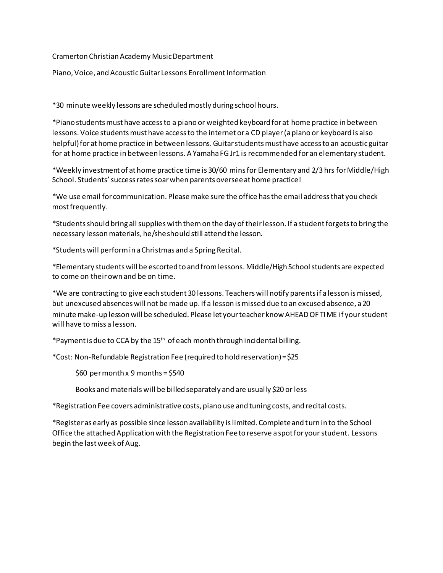## Cramerton Christian Academy Music Department

Piano, Voice, and Acoustic Guitar Lessons Enrollment Information

\*30 minute weekly lessons are scheduled mostly during school hours.

\*Piano students must have access to a piano or weighted keyboard for at home practice in between lessons. Voice students must have access to the internet or a CD player (a piano or keyboard is also helpful) for at home practice in between lessons. Guitar students must have access to an acoustic guitar for at home practice in between lessons. A Yamaha FG Jr1 is recommended for an elementary student.

\*Weekly investment of at home practice time is 30/60 mins for Elementary and 2/3 hrs for Middle/High School. Students' success rates soar when parents oversee at home practice!

\*We use email for communication. Please make sure the office has the email address that you check most frequently.

\*Students should bring all supplies with them on the day of their lesson. If a student forgets to bring the necessary lesson materials, he/she should still attend the lesson.

\*Students will perform in a Christmas and a Spring Recital.

\*Elementary students will be escorted to and from lessons. Middle/High School students are expected to come on their own and be on time.

\*We are contracting to give each student 30 lessons. Teachers will notify parents if a lesson is missed, but unexcused absences will not be made up. If a lesson is missed due to an excused absence, a 20 minute make-up lesson will be scheduled. Please let your teacher know AHEAD OF TIME if your student will have to miss a lesson.

\*Payment is due to CCA by the 15th of each month through incidental billing.

\*Cost: Non-Refundable Registration Fee (required to hold reservation) = \$25

 $$60$  per month x 9 months = \$540

Books and materials will be billed separately and are usually \$20 or less

\*Registration Fee covers administrative costs, piano use and tuning costs, and recital costs.

\*Register as early as possible since lesson availability is limited. Complete and turn in to the School Office the attached Application with the Registration Fee to reserve a spot for your student. Lessons begin the last week of Aug.